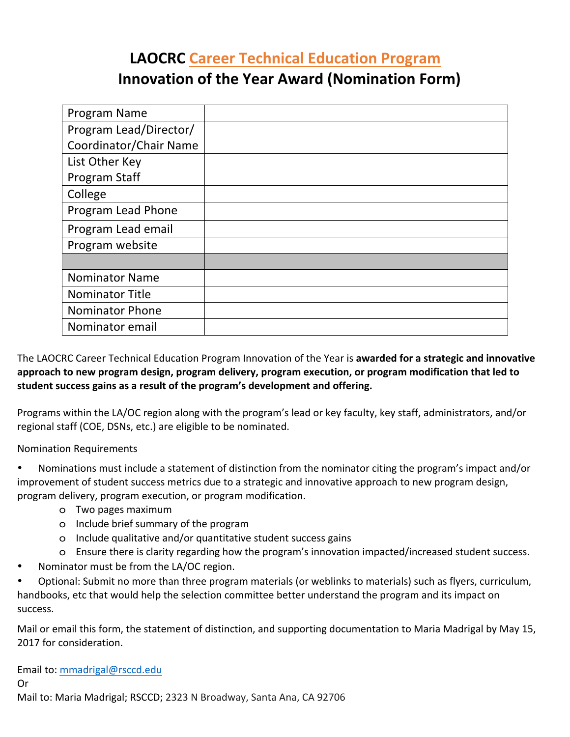### **LAOCRC Career Technical Education Program Innovation of the Year Award (Nomination Form)**

| Program Name           |  |
|------------------------|--|
| Program Lead/Director/ |  |
| Coordinator/Chair Name |  |
| List Other Key         |  |
| Program Staff          |  |
| College                |  |
| Program Lead Phone     |  |
| Program Lead email     |  |
| Program website        |  |
|                        |  |
| <b>Nominator Name</b>  |  |
| <b>Nominator Title</b> |  |
| <b>Nominator Phone</b> |  |
| Nominator email        |  |

The LAOCRC Career Technical Education Program Innovation of the Year is **awarded for a strategic and innovative** approach to new program design, program delivery, program execution, or program modification that led to student success gains as a result of the program's development and offering.

Programs within the LA/OC region along with the program's lead or key faculty, key staff, administrators, and/or regional staff (COE, DSNs, etc.) are eligible to be nominated.

Nomination Requirements

Nominations must include a statement of distinction from the nominator citing the program's impact and/or improvement of student success metrics due to a strategic and innovative approach to new program design, program delivery, program execution, or program modification.

- o Two pages maximum
- o Include brief summary of the program
- o Include qualitative and/or quantitative student success gains
- o Ensure there is clarity regarding how the program's innovation impacted/increased student success.
- Nominator must be from the LA/OC region.

Optional: Submit no more than three program materials (or weblinks to materials) such as flyers, curriculum, handbooks, etc that would help the selection committee better understand the program and its impact on success.

Mail or email this form, the statement of distinction, and supporting documentation to Maria Madrigal by May 15, 2017 for consideration.

Email to: mmadrigal@rsccd.edu Or Mail to: Maria Madrigal; RSCCD; 2323 N Broadway, Santa Ana, CA 92706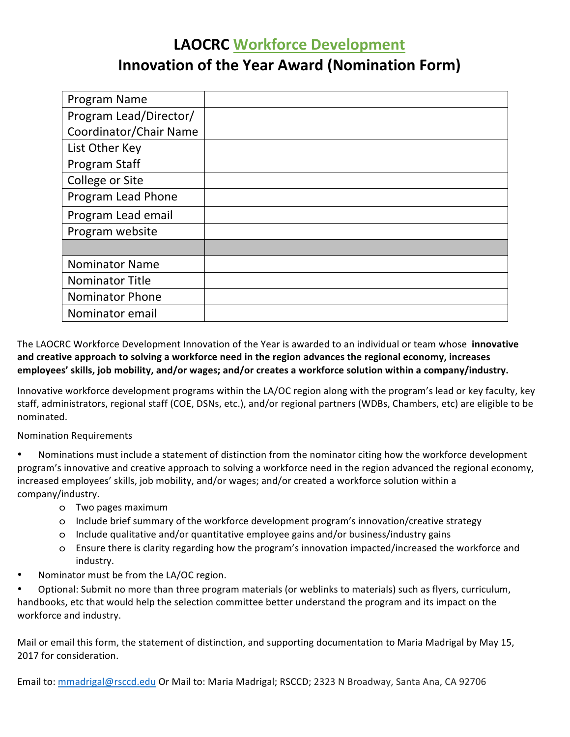# **LAOCRC Workforce Development Innovation of the Year Award (Nomination Form)**

| Program Name           |  |
|------------------------|--|
| Program Lead/Director/ |  |
| Coordinator/Chair Name |  |
| List Other Key         |  |
| Program Staff          |  |
| College or Site        |  |
| Program Lead Phone     |  |
| Program Lead email     |  |
| Program website        |  |
|                        |  |
| <b>Nominator Name</b>  |  |
| <b>Nominator Title</b> |  |
| <b>Nominator Phone</b> |  |
| Nominator email        |  |

The LAOCRC Workforce Development Innovation of the Year is awarded to an individual or team whose **innovative** and creative approach to solving a workforce need in the region advances the regional economy, increases employees' skills, job mobility, and/or wages; and/or creates a workforce solution within a company/industry.

Innovative workforce development programs within the LA/OC region along with the program's lead or key faculty, key staff, administrators, regional staff (COE, DSNs, etc.), and/or regional partners (WDBs, Chambers, etc) are eligible to be nominated. 

Nomination Requirements

Nominations must include a statement of distinction from the nominator citing how the workforce development program's innovative and creative approach to solving a workforce need in the region advanced the regional economy, increased employees' skills, job mobility, and/or wages; and/or created a workforce solution within a company/industry.

- o Two pages maximum
- o Include brief summary of the workforce development program's innovation/creative strategy
- o Include qualitative and/or quantitative employee gains and/or business/industry gains
- o Ensure there is clarity regarding how the program's innovation impacted/increased the workforce and industry.
- Nominator must be from the LA/OC region.

Optional: Submit no more than three program materials (or weblinks to materials) such as flyers, curriculum, handbooks, etc that would help the selection committee better understand the program and its impact on the workforce and industry.

Mail or email this form, the statement of distinction, and supporting documentation to Maria Madrigal by May 15, 2017 for consideration.

Email to: mmadrigal@rsccd.edu Or Mail to: Maria Madrigal; RSCCD; 2323 N Broadway, Santa Ana, CA 92706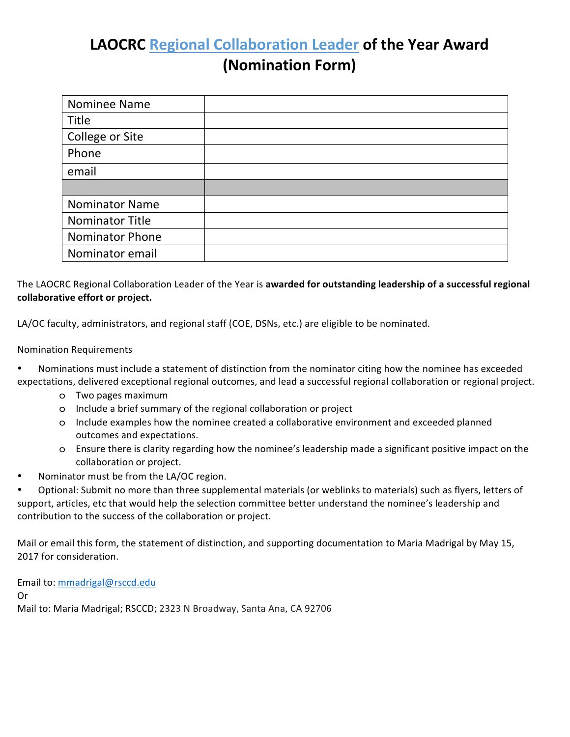## **LAOCRC** Regional Collaboration Leader of the Year Award **(Nomination Form)**

| Nominee Name           |  |
|------------------------|--|
| Title                  |  |
| College or Site        |  |
| Phone                  |  |
| email                  |  |
|                        |  |
| <b>Nominator Name</b>  |  |
| <b>Nominator Title</b> |  |
| <b>Nominator Phone</b> |  |
| Nominator email        |  |

The LAOCRC Regional Collaboration Leader of the Year is awarded for outstanding leadership of a successful regional **collaborative effort or project.** 

LA/OC faculty, administrators, and regional staff (COE, DSNs, etc.) are eligible to be nominated.

#### Nomination Requirements

- Nominations must include a statement of distinction from the nominator citing how the nominee has exceeded expectations, delivered exceptional regional outcomes, and lead a successful regional collaboration or regional project.
	- o Two pages maximum
	- o Include a brief summary of the regional collaboration or project
	- o Include examples how the nominee created a collaborative environment and exceeded planned outcomes and expectations.
	- o Ensure there is clarity regarding how the nominee's leadership made a significant positive impact on the collaboration or project.
- Nominator must be from the LA/OC region.

Optional: Submit no more than three supplemental materials (or weblinks to materials) such as flyers, letters of support, articles, etc that would help the selection committee better understand the nominee's leadership and contribution to the success of the collaboration or project.

Mail or email this form, the statement of distinction, and supporting documentation to Maria Madrigal by May 15, 2017 for consideration.

Email to: mmadrigal@rsccd.edu Or Mail to: Maria Madrigal; RSCCD; 2323 N Broadway, Santa Ana, CA 92706